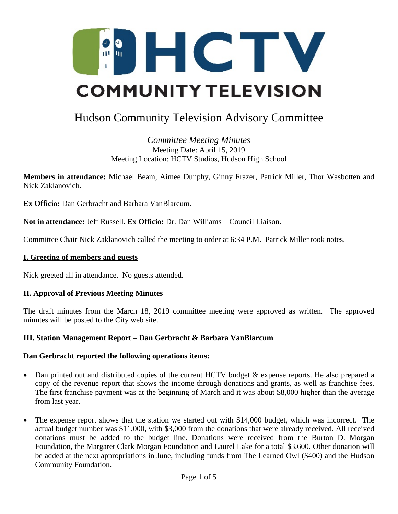

# Hudson Community Television Advisory Committee

# *Committee Meeting Minutes* Meeting Date: April 15, 2019 Meeting Location: HCTV Studios, Hudson High School

**Members in attendance:** Michael Beam, Aimee Dunphy, Ginny Frazer, Patrick Miller, Thor Wasbotten and Nick Zaklanovich.

**Ex Officio:** Dan Gerbracht and Barbara VanBlarcum.

**Not in attendance:** Jeff Russell. **Ex Officio:** Dr. Dan Williams – Council Liaison.

Committee Chair Nick Zaklanovich called the meeting to order at 6:34 P.M. Patrick Miller took notes.

## **I. Greeting of members and guests**

Nick greeted all in attendance. No guests attended.

## **II. Approval of Previous Meeting Minutes**

The draft minutes from the March 18, 2019 committee meeting were approved as written. The approved minutes will be posted to the City web site.

## **III. Station Management Report – Dan Gerbracht & Barbara VanBlarcum**

## **Dan Gerbracht reported the following operations items:**

- · Dan printed out and distributed copies of the current HCTV budget & expense reports. He also prepared a copy of the revenue report that shows the income through donations and grants, as well as franchise fees. The first franchise payment was at the beginning of March and it was about \$8,000 higher than the average from last year.
- · The expense report shows that the station we started out with \$14,000 budget, which was incorrect. The actual budget number was \$11,000, with \$3,000 from the donations that were already received. All received donations must be added to the budget line. Donations were received from the Burton D. Morgan Foundation, the Margaret Clark Morgan Foundation and Laurel Lake for a total \$3,600. Other donation will be added at the next appropriations in June, including funds from The Learned Owl (\$400) and the Hudson Community Foundation.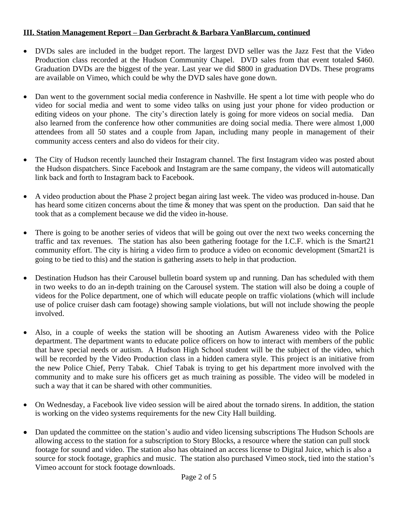# **III. Station Management Report – Dan Gerbracht & Barbara VanBlarcum, continued**

- · DVDs sales are included in the budget report. The largest DVD seller was the Jazz Fest that the Video Production class recorded at the Hudson Community Chapel. DVD sales from that event totaled \$460. Graduation DVDs are the biggest of the year. Last year we did \$800 in graduation DVDs. These programs are available on Vimeo, which could be why the DVD sales have gone down.
- Dan went to the government social media conference in Nashville. He spent a lot time with people who do video for social media and went to some video talks on using just your phone for video production or editing videos on your phone. The city's direction lately is going for more videos on social media. Dan also learned from the conference how other communities are doing social media. There were almost 1,000 attendees from all 50 states and a couple from Japan, including many people in management of their community access centers and also do videos for their city.
- The City of Hudson recently launched their Instagram channel. The first Instagram video was posted about the Hudson dispatchers. Since Facebook and Instagram are the same company, the videos will automatically link back and forth to Instagram back to Facebook.
- · A video production about the Phase 2 project began airing last week. The video was produced in-house. Dan has heard some citizen concerns about the time  $\&$  money that was spent on the production. Dan said that he took that as a complement because we did the video in-house.
- There is going to be another series of videos that will be going out over the next two weeks concerning the traffic and tax revenues. The station has also been gathering footage for the I.C.F. which is the Smart21 community effort. The city is hiring a video firm to produce a video on economic development (Smart21 is going to be tied to this) and the station is gathering assets to help in that production.
- Destination Hudson has their Carousel bulletin board system up and running. Dan has scheduled with them in two weeks to do an in-depth training on the Carousel system. The station will also be doing a couple of videos for the Police department, one of which will educate people on traffic violations (which will include use of police cruiser dash cam footage) showing sample violations, but will not include showing the people involved.
- · Also, in a couple of weeks the station will be shooting an Autism Awareness video with the Police department. The department wants to educate police officers on how to interact with members of the public that have special needs or autism. A Hudson High School student will be the subject of the video, which will be recorded by the Video Production class in a hidden camera style. This project is an initiative from the new Police Chief, Perry Tabak. Chief Tabak is trying to get his department more involved with the community and to make sure his officers get as much training as possible. The video will be modeled in such a way that it can be shared with other communities.
- · On Wednesday, a Facebook live video session will be aired about the tornado sirens. In addition, the station is working on the video systems requirements for the new City Hall building.
- Dan updated the committee on the station's audio and video licensing subscriptions The Hudson Schools are allowing access to the station for a subscription to Story Blocks, a resource where the station can pull stock footage for sound and video. The station also has obtained an access license to Digital Juice, which is also a source for stock footage, graphics and music. The station also purchased Vimeo stock, tied into the station's Vimeo account for stock footage downloads.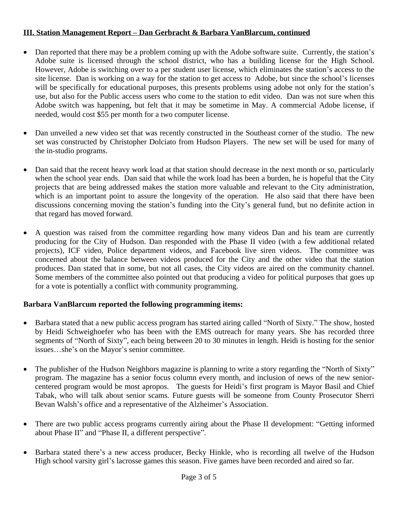# **III. Station Management Report – Dan Gerbracht & Barbara VanBlarcum, continued**

- Dan reported that there may be a problem coming up with the Adobe software suite. Currently, the station's Adobe suite is licensed through the school district, who has a building license for the High School. However, Adobe is switching over to a per student user license, which eliminates the station's access to the site license. Dan is working on a way for the station to get access to Adobe, but since the school's licenses will be specifically for educational purposes, this presents problems using adobe not only for the station's use, but also for the Public access users who come to the station to edit video. Dan was not sure when this Adobe switch was happening, but felt that it may be sometime in May. A commercial Adobe license, if needed, would cost \$55 per month for a two computer license.
- · Dan unveiled a new video set that was recently constructed in the Southeast corner of the studio. The new set was constructed by Christopher Dolciato from Hudson Players. The new set will be used for many of the in-studio programs.
- Dan said that the recent heavy work load at that station should decrease in the next month or so, particularly when the school year ends. Dan said that while the work load has been a burden, he is hopeful that the City projects that are being addressed makes the station more valuable and relevant to the City administration, which is an important point to assure the longevity of the operation. He also said that there have been discussions concerning moving the station's funding into the City's general fund, but no definite action in that regard has moved forward.
- · A question was raised from the committee regarding how many videos Dan and his team are currently producing for the City of Hudson. Dan responded with the Phase II video (with a few additional related projects), ICF video, Police department videos, and Facebook live siren videos. The committee was concerned about the balance between videos produced for the City and the other video that the station produces. Dan stated that in some, but not all cases, the City videos are aired on the community channel. Some members of the committee also pointed out that producing a video for political purposes that goes up for a vote is potentially a conflict with community programming.

## **Barbara VanBlarcum reported the following programming items:**

- · Barbara stated that a new public access program has started airing called "North of Sixty." The show, hosted by Heidi Schweighoefer who has been with the EMS outreach for many years. She has recorded three segments of "North of Sixty", each being between 20 to 30 minutes in length. Heidi is hosting for the senior issues…she's on the Mayor's senior committee.
- The publisher of the Hudson Neighbors magazine is planning to write a story regarding the "North of Sixty" program. The magazine has a senior focus column every month, and inclusion of news of the new seniorcentered program would be most apropos. The guests for Heidi's first program is Mayor Basil and Chief Tabak, who will talk about senior scams. Future guests will be someone from County Prosecutor Sherri Bevan Walsh's office and a representative of the Alzheimer's Association.
- There are two public access programs currently airing about the Phase II development: "Getting informed about Phase II" and "Phase II, a different perspective".
- · Barbara stated there's a new access producer, Becky Hinkle, who is recording all twelve of the Hudson High school varsity girl's lacrosse games this season. Five games have been recorded and aired so far.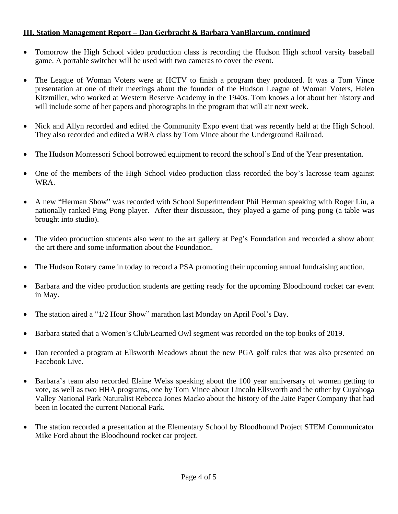# **III. Station Management Report – Dan Gerbracht & Barbara VanBlarcum, continued**

- Tomorrow the High School video production class is recording the Hudson High school varsity baseball game. A portable switcher will be used with two cameras to cover the event.
- · The League of Woman Voters were at HCTV to finish a program they produced. It was a Tom Vince presentation at one of their meetings about the founder of the Hudson League of Woman Voters, Helen Kitzmiller, who worked at Western Reserve Academy in the 1940s. Tom knows a lot about her history and will include some of her papers and photographs in the program that will air next week.
- Nick and Allyn recorded and edited the Community Expo event that was recently held at the High School. They also recorded and edited a WRA class by Tom Vince about the Underground Railroad.
- The Hudson Montessori School borrowed equipment to record the school's End of the Year presentation.
- One of the members of the High School video production class recorded the boy's lacrosse team against WRA.
- · A new "Herman Show" was recorded with School Superintendent Phil Herman speaking with Roger Liu, a nationally ranked Ping Pong player. After their discussion, they played a game of ping pong (a table was brought into studio).
- The video production students also went to the art gallery at Peg's Foundation and recorded a show about the art there and some information about the Foundation.
- The Hudson Rotary came in today to record a PSA promoting their upcoming annual fundraising auction.
- · Barbara and the video production students are getting ready for the upcoming Bloodhound rocket car event in May.
- The station aired a "1/2 Hour Show" marathon last Monday on April Fool's Day.
- · Barbara stated that a Women's Club/Learned Owl segment was recorded on the top books of 2019.
- · Dan recorded a program at Ellsworth Meadows about the new PGA golf rules that was also presented on Facebook Live.
- · Barbara's team also recorded Elaine Weiss speaking about the 100 year anniversary of women getting to vote, as well as two HHA programs, one by Tom Vince about Lincoln Ellsworth and the other by Cuyahoga Valley National Park Naturalist Rebecca Jones Macko about the history of the Jaite Paper Company that had been in located the current National Park.
- · The station recorded a presentation at the Elementary School by Bloodhound Project STEM Communicator Mike Ford about the Bloodhound rocket car project.